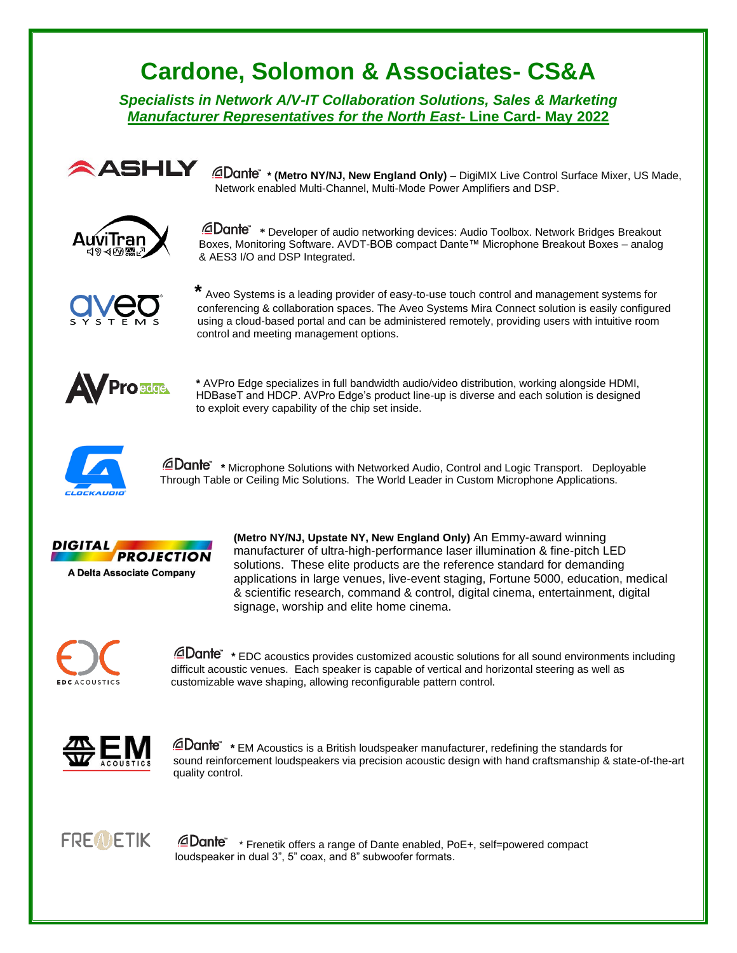## **Cardone, Solomon & Associates- CS&A**

*Specialists in Network A/V-IT Collaboration Solutions, Sales & Marketing Manufacturer Representatives for the North East-* **Line Card- May 2022**



**ASHLY** @Dante" \* (Metro NY/NJ, New England Only) – DigiMIX Live Control Surface Mixer, US Made, Network enabled Multi-Channel, Multi-Mode Power Amplifiers and DSP.



 **\*** Developer of audio networking devices: Audio Toolbox. Network Bridges Breakout Boxes, Monitoring Software. AVDT-BOB compact Dante™ Microphone Breakout Boxes – analog & AES3 I/O and DSP Integrated.



 **\*** Aveo Systems is a leading provider of easy-to-use touch control and management systems for conferencing & collaboration spaces. The Aveo Systems Mira Connect solution is easily configured using a cloud-based portal and can be administered remotely, providing users with intuitive room control and meeting management options.



**\*** AVPro Edge specializes in full bandwidth audio/video distribution, working alongside HDMI, HDBaseT and HDCP. AVPro Edge's product line-up is diverse and each solution is designed to exploit every capability of the chip set inside.



 **\*** Microphone Solutions with Networked Audio, Control and Logic Transport. Deployable Through Table or Ceiling Mic Solutions. The World Leader in Custom Microphone Applications.



**(Metro NY/NJ, Upstate NY, New England Only)** An Emmy-award winning manufacturer of ultra-high-performance laser illumination & fine-pitch LED solutions. These elite products are the reference standard for demanding applications in large venues, live-event staging, Fortune 5000, education, medical & scientific research, command & control, digital cinema, entertainment, digital signage, worship and elite home cinema.



 **\*** EDC acoustics provides customized acoustic solutions for all sound environments including difficult acoustic venues. Each speaker is capable of vertical and horizontal steering as well as customizable wave shaping, allowing reconfigurable pattern control.



 **\*** EM Acoustics is a British loudspeaker manufacturer, redefining the standards for sound reinforcement loudspeakers via precision acoustic design with hand craftsmanship & state-of-the-art quality control.

## **FREWETIK**

**Dante** \* Frenetik offers a range of Dante enabled, PoE+, self=powered compact loudspeaker in dual 3", 5" coax, and 8" subwoofer formats.